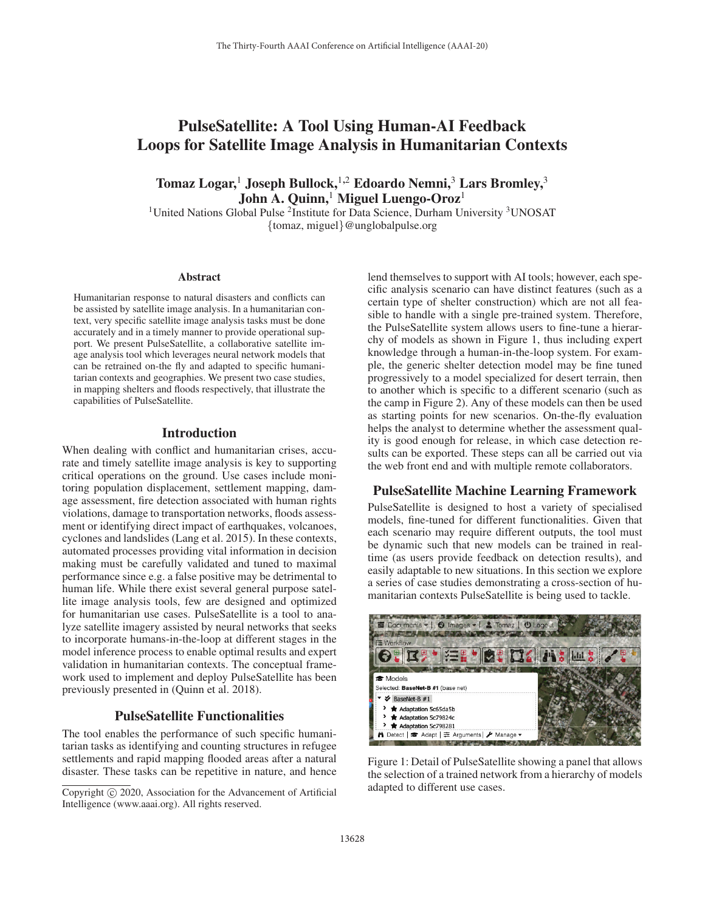# PulseSatellite: A Tool Using Human-AI Feedback Loops for Satellite Image Analysis in Humanitarian Contexts

Tomaz Logar,<sup>1</sup> Joseph Bullock,<sup>1,2</sup> Edoardo Nemni,<sup>3</sup> Lars Bromley,<sup>3</sup> John A. Quinn,<sup>1</sup> Miguel Luengo-Oroz<sup>1</sup>

<sup>1</sup>United Nations Global Pulse <sup>2</sup>Institute for Data Science, Durham University <sup>3</sup>UNOSAT {tomaz, miguel}@unglobalpulse.org

#### Abstract

Humanitarian response to natural disasters and conflicts can be assisted by satellite image analysis. In a humanitarian context, very specific satellite image analysis tasks must be done accurately and in a timely manner to provide operational support. We present PulseSatellite, a collaborative satellite image analysis tool which leverages neural network models that can be retrained on-the fly and adapted to specific humanitarian contexts and geographies. We present two case studies, in mapping shelters and floods respectively, that illustrate the capabilities of PulseSatellite.

# Introduction

When dealing with conflict and humanitarian crises, accurate and timely satellite image analysis is key to supporting critical operations on the ground. Use cases include monitoring population displacement, settlement mapping, damage assessment, fire detection associated with human rights violations, damage to transportation networks, floods assessment or identifying direct impact of earthquakes, volcanoes, cyclones and landslides (Lang et al. 2015). In these contexts, automated processes providing vital information in decision making must be carefully validated and tuned to maximal performance since e.g. a false positive may be detrimental to human life. While there exist several general purpose satellite image analysis tools, few are designed and optimized for humanitarian use cases. PulseSatellite is a tool to analyze satellite imagery assisted by neural networks that seeks to incorporate humans-in-the-loop at different stages in the model inference process to enable optimal results and expert validation in humanitarian contexts. The conceptual framework used to implement and deploy PulseSatellite has been previously presented in (Quinn et al. 2018).

# PulseSatellite Functionalities

The tool enables the performance of such specific humanitarian tasks as identifying and counting structures in refugee settlements and rapid mapping flooded areas after a natural disaster. These tasks can be repetitive in nature, and hence

lend themselves to support with AI tools; however, each specific analysis scenario can have distinct features (such as a certain type of shelter construction) which are not all feasible to handle with a single pre-trained system. Therefore, the PulseSatellite system allows users to fine-tune a hierarchy of models as shown in Figure 1, thus including expert knowledge through a human-in-the-loop system. For example, the generic shelter detection model may be fine tuned progressively to a model specialized for desert terrain, then to another which is specific to a different scenario (such as the camp in Figure 2). Any of these models can then be used as starting points for new scenarios. On-the-fly evaluation helps the analyst to determine whether the assessment quality is good enough for release, in which case detection results can be exported. These steps can all be carried out via the web front end and with multiple remote collaborators.

#### PulseSatellite Machine Learning Framework

PulseSatellite is designed to host a variety of specialised models, fine-tuned for different functionalities. Given that each scenario may require different outputs, the tool must be dynamic such that new models can be trained in realtime (as users provide feedback on detection results), and easily adaptable to new situations. In this section we explore a series of case studies demonstrating a cross-section of humanitarian contexts PulseSatellite is being used to tackle.



Figure 1: Detail of PulseSatellite showing a panel that allows the selection of a trained network from a hierarchy of models adapted to different use cases.

Copyright  $\odot$  2020, Association for the Advancement of Artificial Intelligence (www.aaai.org). All rights reserved.